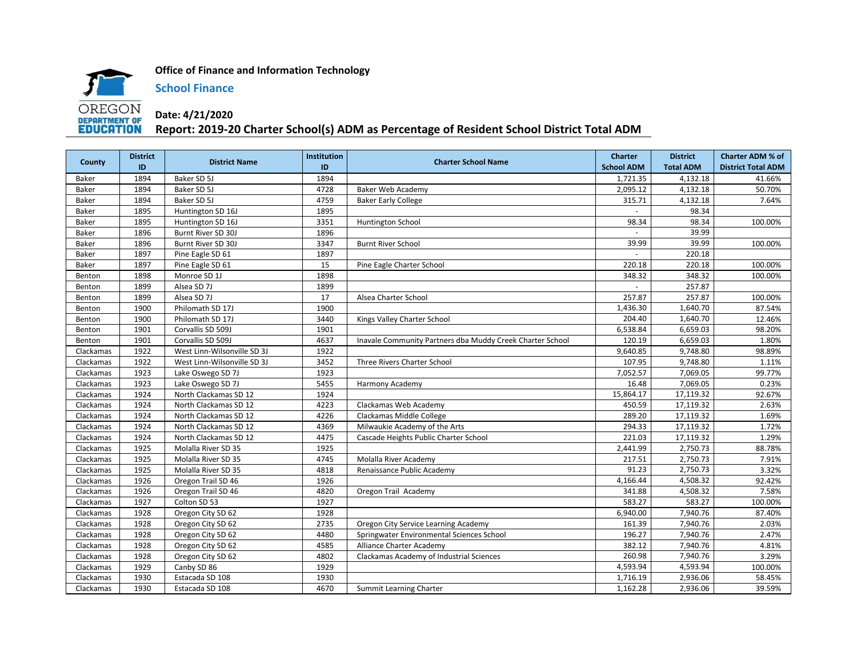

**Office of Finance and Information Technology**

**School Finance**

## **Date: 4/21/2020 Report: 2019-20 Charter School(s) ADM as Percentage of Resident School District Total ADM**

| County    | <b>District</b> | <b>District Name</b>        | <b>Institution</b> | <b>Charter School Name</b>                                | <b>Charter</b>    | <b>District</b>  | <b>Charter ADM % of</b>   |
|-----------|-----------------|-----------------------------|--------------------|-----------------------------------------------------------|-------------------|------------------|---------------------------|
|           | ID              |                             | ID                 |                                                           | <b>School ADM</b> | <b>Total ADM</b> | <b>District Total ADM</b> |
| Baker     | 1894            | Baker SD 5J                 | 1894               |                                                           | 1,721.35          | 4,132.18         | 41.66%                    |
| Baker     | 1894            | Baker SD 5J                 | 4728               | <b>Baker Web Academy</b>                                  | 2,095.12          | 4,132.18         | 50.70%                    |
| Baker     | 1894            | Baker SD 5J                 | 4759               | <b>Baker Early College</b>                                | 315.71            | 4,132.18         | 7.64%                     |
| Baker     | 1895            | Huntington SD 16J           | 1895               |                                                           |                   | 98.34            |                           |
| Baker     | 1895            | Huntington SD 16J           | 3351               | Huntington School                                         | 98.34             | 98.34            | 100.00%                   |
| Baker     | 1896            | Burnt River SD 30J          | 1896               |                                                           |                   | 39.99            |                           |
| Baker     | 1896            | Burnt River SD 30J          | 3347               | <b>Burnt River School</b>                                 | 39.99             | 39.99            | 100.00%                   |
| Baker     | 1897            | Pine Eagle SD 61            | 1897               |                                                           |                   | 220.18           |                           |
| Baker     | 1897            | Pine Eagle SD 61            | 15                 | Pine Eagle Charter School                                 | 220.18            | 220.18           | 100.00%                   |
| Benton    | 1898            | Monroe SD 1J                | 1898               |                                                           | 348.32            | 348.32           | 100.00%                   |
| Benton    | 1899            | Alsea SD 7J                 | 1899               |                                                           |                   | 257.87           |                           |
| Benton    | 1899            | Alsea SD 7J                 | 17                 | Alsea Charter School                                      | 257.87            | 257.87           | 100.00%                   |
| Benton    | 1900            | Philomath SD 17J            | 1900               |                                                           | 1,436.30          | 1,640.70         | 87.54%                    |
| Benton    | 1900            | Philomath SD 17J            | 3440               | Kings Valley Charter School                               | 204.40            | 1,640.70         | 12.46%                    |
| Benton    | 1901            | Corvallis SD 509J           | 1901               |                                                           | 6,538.84          | 6,659.03         | 98.20%                    |
| Benton    | 1901            | Corvallis SD 509J           | 4637               | Inavale Community Partners dba Muddy Creek Charter School | 120.19            | 6,659.03         | 1.80%                     |
| Clackamas | 1922            | West Linn-Wilsonville SD 3J | 1922               |                                                           | 9,640.85          | 9,748.80         | 98.89%                    |
| Clackamas | 1922            | West Linn-Wilsonville SD 3J | 3452               | Three Rivers Charter School                               | 107.95            | 9,748.80         | 1.11%                     |
| Clackamas | 1923            | Lake Oswego SD 7J           | 1923               |                                                           | 7,052.57          | 7,069.05         | 99.77%                    |
| Clackamas | 1923            | Lake Oswego SD 7J           | 5455               | Harmony Academy                                           | 16.48             | 7,069.05         | 0.23%                     |
| Clackamas | 1924            | North Clackamas SD 12       | 1924               |                                                           | 15,864.17         | 17,119.32        | 92.67%                    |
| Clackamas | 1924            | North Clackamas SD 12       | 4223               | Clackamas Web Academy                                     | 450.59            | 17,119.32        | 2.63%                     |
| Clackamas | 1924            | North Clackamas SD 12       | 4226               | Clackamas Middle College                                  | 289.20            | 17,119.32        | 1.69%                     |
| Clackamas | 1924            | North Clackamas SD 12       | 4369               | Milwaukie Academy of the Arts                             | 294.33            | 17,119.32        | 1.72%                     |
| Clackamas | 1924            | North Clackamas SD 12       | 4475               | Cascade Heights Public Charter School                     | 221.03            | 17,119.32        | 1.29%                     |
| Clackamas | 1925            | Molalla River SD 35         | 1925               |                                                           | 2,441.99          | 2,750.73         | 88.78%                    |
| Clackamas | 1925            | Molalla River SD 35         | 4745               | Molalla River Academy                                     | 217.51            | 2,750.73         | 7.91%                     |
| Clackamas | 1925            | Molalla River SD 35         | 4818               | Renaissance Public Academy                                | 91.23             | 2,750.73         | 3.32%                     |
| Clackamas | 1926            | Oregon Trail SD 46          | 1926               |                                                           | 4,166.44          | 4,508.32         | 92.42%                    |
| Clackamas | 1926            | Oregon Trail SD 46          | 4820               | Oregon Trail Academy                                      | 341.88            | 4,508.32         | 7.58%                     |
| Clackamas | 1927            | Colton SD 53                | 1927               |                                                           | 583.27            | 583.27           | 100.00%                   |
| Clackamas | 1928            | Oregon City SD 62           | 1928               |                                                           | 6,940.00          | 7,940.76         | 87.40%                    |
| Clackamas | 1928            | Oregon City SD 62           | 2735               | Oregon City Service Learning Academy                      | 161.39            | 7,940.76         | 2.03%                     |
| Clackamas | 1928            | Oregon City SD 62           | 4480               | Springwater Environmental Sciences School                 | 196.27            | 7,940.76         | 2.47%                     |
| Clackamas | 1928            | Oregon City SD 62           | 4585               | Alliance Charter Academy                                  | 382.12            | 7,940.76         | 4.81%                     |
| Clackamas | 1928            | Oregon City SD 62           | 4802               | Clackamas Academy of Industrial Sciences                  | 260.98            | 7,940.76         | 3.29%                     |
| Clackamas | 1929            | Canby SD 86                 | 1929               |                                                           | 4,593.94          | 4,593.94         | 100.00%                   |
| Clackamas | 1930            | Estacada SD 108             | 1930               |                                                           | 1,716.19          | 2,936.06         | 58.45%                    |
| Clackamas | 1930            | Estacada SD 108             | 4670               | Summit Learning Charter                                   | 1,162.28          | 2,936.06         | 39.59%                    |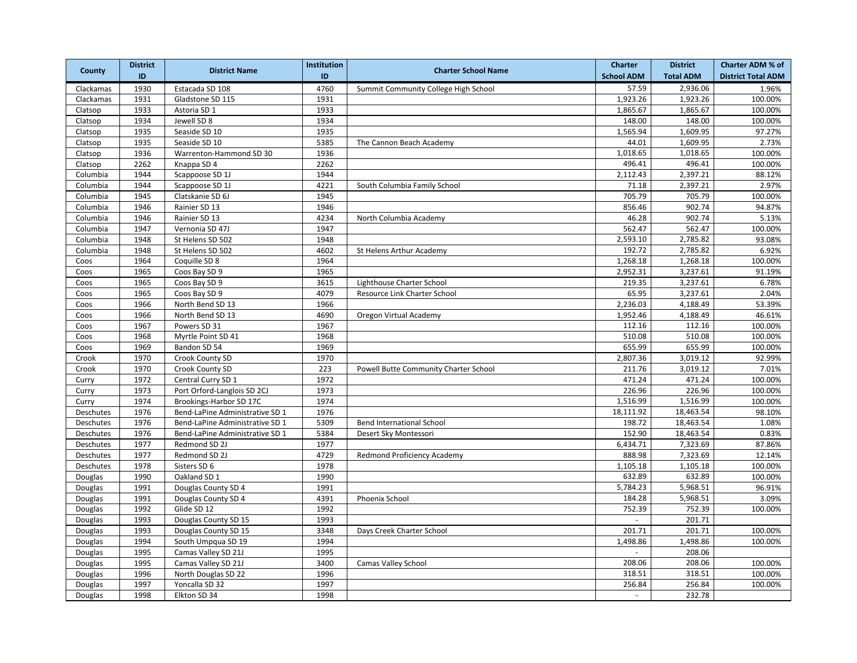|           | <b>District</b> |                                 | <b>Institution</b> |                                       | <b>Charter</b>           | <b>District</b>  | <b>Charter ADM % of</b>   |
|-----------|-----------------|---------------------------------|--------------------|---------------------------------------|--------------------------|------------------|---------------------------|
| County    | ID              | <b>District Name</b>            | ID                 | <b>Charter School Name</b>            | <b>School ADM</b>        | <b>Total ADM</b> | <b>District Total ADM</b> |
| Clackamas | 1930            | Estacada SD 108                 | 4760               | Summit Community College High School  | 57.59                    | 2,936.06         | 1.96%                     |
| Clackamas | 1931            | Gladstone SD 115                | 1931               |                                       | 1,923.26                 | 1,923.26         | 100.00%                   |
| Clatsop   | 1933            | Astoria SD 1                    | 1933               |                                       | 1,865.67                 | 1,865.67         | 100.00%                   |
| Clatsop   | 1934            | Jewell SD 8                     | 1934               |                                       | 148.00                   | 148.00           | 100.00%                   |
| Clatsop   | 1935            | Seaside SD 10                   | 1935               |                                       | 1,565.94                 | 1,609.95         | 97.27%                    |
| Clatsop   | 1935            | Seaside SD 10                   | 5385               | The Cannon Beach Academy              | 44.01                    | 1,609.95         | 2.73%                     |
| Clatsop   | 1936            | Warrenton-Hammond SD 30         | 1936               |                                       | 1,018.65                 | 1,018.65         | 100.00%                   |
| Clatsop   | 2262            | Knappa SD 4                     | 2262               |                                       | 496.41                   | 496.41           | 100.00%                   |
| Columbia  | 1944            | Scappoose SD 1J                 | 1944               |                                       | 2,112.43                 | 2,397.21         | 88.12%                    |
| Columbia  | 1944            | Scappoose SD 1J                 | 4221               | South Columbia Family School          | 71.18                    | 2,397.21         | 2.97%                     |
| Columbia  | 1945            | Clatskanie SD 6J                | 1945               |                                       | 705.79                   | 705.79           | 100.00%                   |
| Columbia  | 1946            | Rainier SD 13                   | 1946               |                                       | 856.46                   | 902.74           | 94.87%                    |
| Columbia  | 1946            | Rainier SD 13                   | 4234               | North Columbia Academy                | 46.28                    | 902.74           | 5.13%                     |
| Columbia  | 1947            | Vernonia SD 47J                 | 1947               |                                       | 562.47                   | 562.47           | 100.00%                   |
| Columbia  | 1948            | St Helens SD 502                | 1948               |                                       | 2,593.10                 | 2,785.82         | 93.08%                    |
| Columbia  | 1948            | St Helens SD 502                | 4602               | St Helens Arthur Academy              | 192.72                   | 2,785.82         | 6.92%                     |
| Coos      | 1964            | Coquille SD 8                   | 1964               |                                       | 1,268.18                 | 1,268.18         | 100.00%                   |
| Coos      | 1965            | Coos Bay SD 9                   | 1965               |                                       | 2,952.31                 | 3,237.61         | 91.19%                    |
| Coos      | 1965            | Coos Bay SD 9                   | 3615               | Lighthouse Charter School             | 219.35                   | 3,237.61         | 6.78%                     |
| Coos      | 1965            | Coos Bay SD 9                   | 4079               | Resource Link Charter School          | 65.95                    | 3,237.61         | 2.04%                     |
| Coos      | 1966            | North Bend SD 13                | 1966               |                                       | 2,236.03                 | 4,188.49         | 53.39%                    |
| Coos      | 1966            | North Bend SD 13                | 4690               | Oregon Virtual Academy                | 1,952.46                 | 4,188.49         | 46.61%                    |
| Coos      | 1967            | Powers SD 31                    | 1967               |                                       | 112.16                   | 112.16           | 100.00%                   |
| Coos      | 1968            | Myrtle Point SD 41              | 1968               |                                       | 510.08                   | 510.08           | 100.00%                   |
| Coos      | 1969            | Bandon SD 54                    | 1969               |                                       | 655.99                   | 655.99           | 100.00%                   |
| Crook     | 1970            | Crook County SD                 | 1970               |                                       | 2,807.36                 | 3,019.12         | 92.99%                    |
| Crook     | 1970            | Crook County SD                 | 223                | Powell Butte Community Charter School | 211.76                   | 3,019.12         | 7.01%                     |
| Curry     | 1972            | Central Curry SD 1              | 1972               |                                       | 471.24                   | 471.24           | 100.00%                   |
| Curry     | 1973            | Port Orford-Langlois SD 2CJ     | 1973               |                                       | 226.96                   | 226.96           | 100.00%                   |
| Curry     | 1974            | Brookings-Harbor SD 17C         | 1974               |                                       | 1,516.99                 | 1,516.99         | 100.00%                   |
| Deschutes | 1976            | Bend-LaPine Administrative SD 1 | 1976               |                                       | 18,111.92                | 18,463.54        | 98.10%                    |
| Deschutes | 1976            | Bend-LaPine Administrative SD 1 | 5309               | Bend International School             | 198.72                   | 18,463.54        | 1.08%                     |
| Deschutes | 1976            | Bend-LaPine Administrative SD 1 | 5384               | Desert Sky Montessori                 | 152.90                   | 18,463.54        | 0.83%                     |
| Deschutes | 1977            | Redmond SD 2J                   | 1977               |                                       | 6,434.71                 | 7,323.69         | 87.86%                    |
| Deschutes | 1977            | Redmond SD 2J                   | 4729               | Redmond Proficiency Academy           | 888.98                   | 7,323.69         | 12.14%                    |
| Deschutes | 1978            | Sisters SD 6                    | 1978               |                                       | 1,105.18                 | 1,105.18         | 100.00%                   |
| Douglas   | 1990            | Oakland SD 1                    | 1990               |                                       | 632.89                   | 632.89           | 100.00%                   |
| Douglas   | 1991            | Douglas County SD 4             | 1991               |                                       | 5,784.23                 | 5,968.51         | 96.91%                    |
| Douglas   | 1991            | Douglas County SD 4             | 4391               | Phoenix School                        | 184.28                   | 5,968.51         | 3.09%                     |
| Douglas   | 1992            | Glide SD 12                     | 1992               |                                       | 752.39                   | 752.39           | 100.00%                   |
| Douglas   | 1993            | Douglas County SD 15            | 1993               |                                       | $\equiv$                 | 201.71           |                           |
| Douglas   | 1993            | Douglas County SD 15            | 3348               | Days Creek Charter School             | 201.71                   | 201.71           | 100.00%                   |
| Douglas   | 1994            | South Umpqua SD 19              | 1994               |                                       | 1,498.86                 | 1,498.86         | 100.00%                   |
| Douglas   | 1995            | Camas Valley SD 21J             | 1995               |                                       | ÷.                       | 208.06           |                           |
| Douglas   | 1995            | Camas Valley SD 21J             | 3400               | Camas Valley School                   | 208.06                   | 208.06           | 100.00%                   |
| Douglas   | 1996            | North Douglas SD 22             | 1996               |                                       | 318.51                   | 318.51           | 100.00%                   |
| Douglas   | 1997            | Yoncalla SD 32                  | 1997               |                                       | 256.84                   | 256.84           | 100.00%                   |
| Douglas   | 1998            | Elkton SD 34                    | 1998               |                                       | $\overline{\phantom{a}}$ | 232.78           |                           |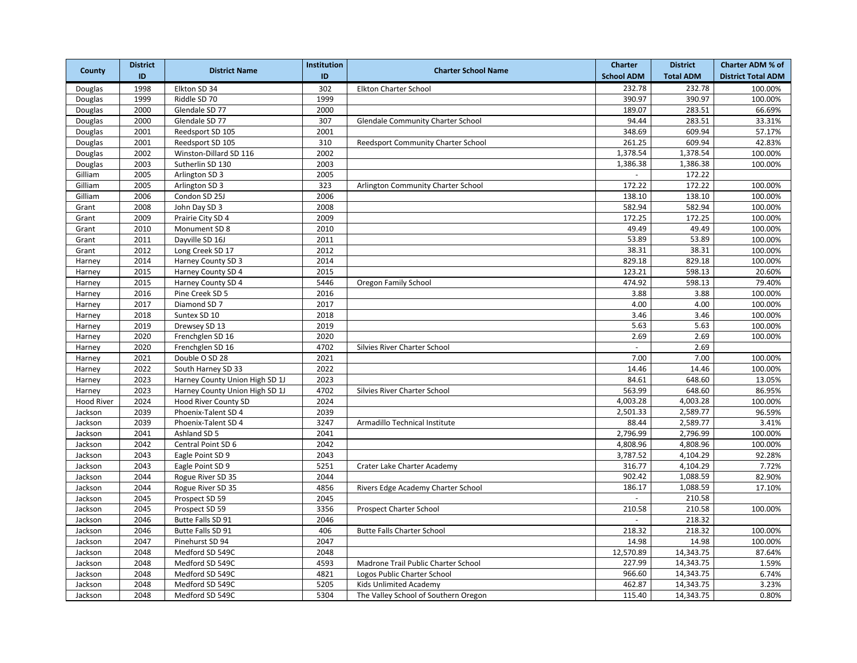|                   | <b>District</b> |                                | <b>Institution</b> |                                      | <b>Charter</b>    | <b>District</b>       | <b>Charter ADM % of</b>   |
|-------------------|-----------------|--------------------------------|--------------------|--------------------------------------|-------------------|-----------------------|---------------------------|
| County            | ID              | <b>District Name</b>           | ID                 | <b>Charter School Name</b>           | <b>School ADM</b> | <b>Total ADM</b>      | <b>District Total ADM</b> |
| Douglas           | 1998            | Elkton SD 34                   | 302                | Elkton Charter School                | 232.78            | 232.78                | 100.00%                   |
| Douglas           | 1999            | Riddle SD 70                   | 1999               |                                      | 390.97            | 390.97                | 100.00%                   |
| Douglas           | 2000            | Glendale SD 77                 | 2000               |                                      | 189.07            | 283.51                | 66.69%                    |
| Douglas           | 2000            | Glendale SD 77                 | 307                | Glendale Community Charter School    | 94.44             | 283.51                | 33.31%                    |
| Douglas           | 2001            | Reedsport SD 105               | 2001               |                                      | 348.69            | 609.94                | 57.17%                    |
| Douglas           | 2001            | Reedsport SD 105               | 310                | Reedsport Community Charter School   | 261.25            | 609.94                | 42.83%                    |
| Douglas           | 2002            | Winston-Dillard SD 116         | 2002               |                                      | 1,378.54          | 1,378.54              | 100.00%                   |
| Douglas           | 2003            | Sutherlin SD 130               | 2003               |                                      | 1,386.38          | 1,386.38              | 100.00%                   |
| Gilliam           | 2005            | Arlington SD 3                 | 2005               |                                      | $\sim$            | 172.22                |                           |
| Gilliam           | 2005            | Arlington SD 3                 | 323                | Arlington Community Charter School   | 172.22            | 172.22                | 100.00%                   |
| Gilliam           | 2006            | Condon SD 25J                  | 2006               |                                      | 138.10            | 138.10                | 100.00%                   |
| Grant             | 2008            | John Day SD 3                  | 2008               |                                      | 582.94            | 582.94                | 100.00%                   |
| Grant             | 2009            | Prairie City SD 4              | 2009               |                                      | 172.25            | 172.25                | 100.00%                   |
| Grant             | 2010            | Monument SD 8                  | 2010               |                                      | 49.49             | 49.49                 | 100.00%                   |
| Grant             | 2011            | Dayville SD 16J                | 2011               |                                      | 53.89             | 53.89                 | 100.00%                   |
| Grant             | 2012            | Long Creek SD 17               | 2012               |                                      | 38.31             | 38.31                 | 100.00%                   |
| Harney            | 2014            | Harney County SD 3             | 2014               |                                      | 829.18            | 829.18                | 100.00%                   |
| Harney            | 2015            | Harney County SD 4             | 2015               |                                      | 123.21            | 598.13                | 20.60%                    |
| Harney            | 2015            | Harney County SD 4             | 5446               | Oregon Family School                 | 474.92            | 598.13                | 79.40%                    |
| Harney            | 2016            | Pine Creek SD 5                | 2016               |                                      | 3.88              | 3.88                  | 100.00%                   |
| Harney            | 2017            | Diamond SD 7                   | 2017               |                                      | 4.00              | 4.00                  | 100.00%                   |
| Harney            | 2018            | Suntex SD 10                   | 2018               |                                      | 3.46              | 3.46                  | 100.00%                   |
| Harney            | 2019            | Drewsey SD 13                  | 2019               |                                      | 5.63              | 5.63                  | 100.00%                   |
| Harney            | 2020            | Frenchglen SD 16               | 2020               |                                      | 2.69              | 2.69                  | 100.00%                   |
| Harney            | 2020            | Frenchglen SD 16               | 4702               | Silvies River Charter School         |                   | 2.69                  |                           |
| Harney            | 2021            | Double O SD 28                 | 2021               |                                      | 7.00              | 7.00                  | 100.00%                   |
| Harney            | 2022            | South Harney SD 33             | 2022               |                                      | 14.46             | 14.46                 | 100.00%                   |
| Harney            | 2023            | Harney County Union High SD 1J | 2023               |                                      | 84.61             | 648.60                | 13.05%                    |
| Harney            | 2023            | Harney County Union High SD 1J | 4702               | Silvies River Charter School         | 563.99            | 648.60                | 86.95%                    |
| <b>Hood River</b> | 2024            | <b>Hood River County SD</b>    | 2024               |                                      | 4,003.28          | 4,003.28              | 100.00%                   |
| Jackson           | 2039            | Phoenix-Talent SD 4            | 2039               |                                      | 2,501.33          | 2,589.77              | 96.59%                    |
| Jackson           | 2039            | Phoenix-Talent SD 4            | 3247               | Armadillo Technical Institute        | 88.44             | 2,589.77              | 3.41%                     |
| Jackson           | 2041            | Ashland SD 5                   | 2041               |                                      | 2,796.99          | 2,796.99              | 100.00%                   |
| Jackson           | 2042            | Central Point SD 6             | 2042               |                                      | 4,808.96          | 4,808.96              | 100.00%                   |
| Jackson           | 2043            | Eagle Point SD 9               | 2043               |                                      | 3,787.52          | $\overline{4,}104.29$ | 92.28%                    |
| Jackson           | 2043            | Eagle Point SD 9               | 5251               | Crater Lake Charter Academy          | 316.77            | 4,104.29              | 7.72%                     |
| Jackson           | 2044            | Rogue River SD 35              | 2044               |                                      | 902.42            | 1,088.59              | 82.90%                    |
| Jackson           | 2044            | Rogue River SD 35              | 4856               | Rivers Edge Academy Charter School   | 186.17            | 1,088.59              | 17.10%                    |
| Jackson           | 2045            | Prospect SD 59                 | 2045               |                                      | $\sim$            | 210.58                |                           |
| Jackson           | 2045            | Prospect SD 59                 | 3356               | Prospect Charter School              | 210.58            | 210.58                | 100.00%                   |
| Jackson           | 2046            | Butte Falls SD 91              | 2046               |                                      | $\sim$            | 218.32                |                           |
| Jackson           | 2046            | Butte Falls SD 91              | 406                | <b>Butte Falls Charter School</b>    | 218.32            | 218.32                | 100.00%                   |
| Jackson           | 2047            | Pinehurst SD 94                | 2047               |                                      | 14.98             | 14.98                 | 100.00%                   |
| Jackson           | 2048            | Medford SD 549C                | 2048               |                                      | 12,570.89         | 14,343.75             | 87.64%                    |
| Jackson           | 2048            | Medford SD 549C                | 4593               | Madrone Trail Public Charter School  | 227.99            | 14,343.75             | 1.59%                     |
| Jackson           | 2048            | Medford SD 549C                | 4821               | Logos Public Charter School          | 966.60            | 14,343.75             | 6.74%                     |
| Jackson           | 2048            | Medford SD 549C                | 5205               | Kids Unlimited Academy               | 462.87            | 14,343.75             | 3.23%                     |
| Jackson           | 2048            | Medford SD 549C                | 5304               | The Valley School of Southern Oregon | 115.40            | 14,343.75             | 0.80%                     |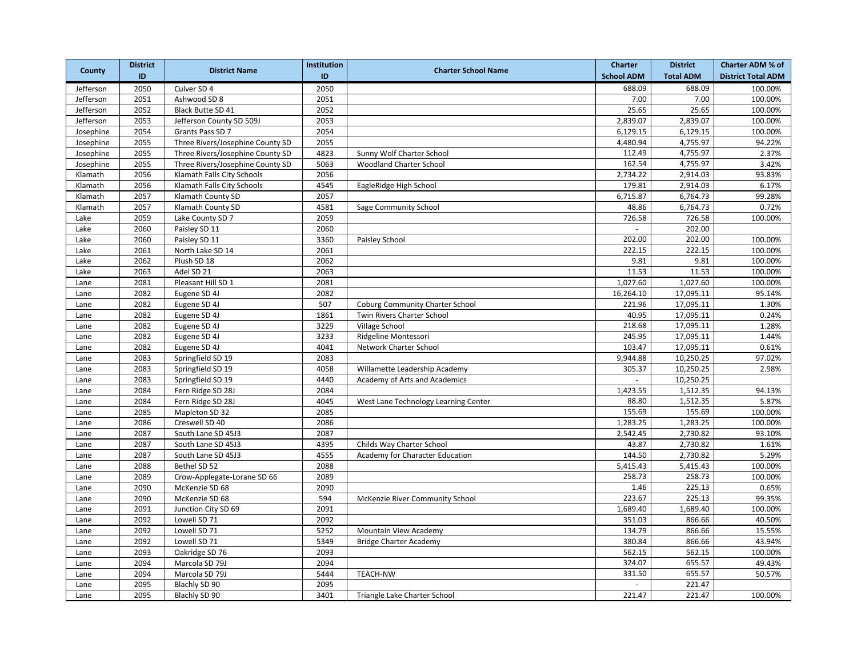|           | <b>District</b> |                                  | <b>Institution</b> |                                        | <b>Charter</b>    | <b>District</b>       | <b>Charter ADM % of</b>   |
|-----------|-----------------|----------------------------------|--------------------|----------------------------------------|-------------------|-----------------------|---------------------------|
| County    | ID              | <b>District Name</b>             | ID                 | <b>Charter School Name</b>             | <b>School ADM</b> | <b>Total ADM</b>      | <b>District Total ADM</b> |
| Jefferson | 2050            | Culver SD 4                      | 2050               |                                        | 688.09            | 688.09                | 100.00%                   |
| Jefferson | 2051            | Ashwood SD 8                     | 2051               |                                        | 7.00              | 7.00                  | 100.00%                   |
| Jefferson | 2052            | Black Butte SD 41                | 2052               |                                        | 25.65             | 25.65                 | 100.00%                   |
| Jefferson | 2053            | Jefferson County SD 509J         | 2053               |                                        | 2,839.07          | 2,839.07              | 100.00%                   |
| Josephine | 2054            | Grants Pass SD 7                 | 2054               |                                        | 6,129.15          | 6,129.15              | 100.00%                   |
| Josephine | 2055            | Three Rivers/Josephine County SD | 2055               |                                        | 4,480.94          | 4,755.97              | 94.22%                    |
| Josephine | 2055            | Three Rivers/Josephine County SD | 4823               | Sunny Wolf Charter School              | 112.49            | 4,755.97              | 2.37%                     |
| Josephine | 2055            | Three Rivers/Josephine County SD | 5063               | <b>Woodland Charter School</b>         | 162.54            | 4,755.97              | 3.42%                     |
| Klamath   | 2056            | Klamath Falls City Schools       | 2056               |                                        | 2,734.22          | 2,914.03              | 93.83%                    |
| Klamath   | 2056            | Klamath Falls City Schools       | 4545               | EagleRidge High School                 | 179.81            | 2,914.03              | 6.17%                     |
| Klamath   | 2057            | Klamath County SD                | 2057               |                                        | 6,715.87          | 6,764.73              | 99.28%                    |
| Klamath   | 2057            | Klamath County SD                | 4581               | Sage Community School                  | 48.86             | 6,764.73              | 0.72%                     |
| Lake      | 2059            | Lake County SD 7                 | 2059               |                                        | 726.58            | 726.58                | 100.00%                   |
| Lake      | 2060            | Paisley SD 11                    | 2060               |                                        |                   | 202.00                |                           |
| Lake      | 2060            | Paisley SD 11                    | 3360               | Paisley School                         | 202.00            | 202.00                | 100.00%                   |
| Lake      | 2061            | North Lake SD 14                 | 2061               |                                        | 222.15            | 222.15                | 100.00%                   |
| Lake      | 2062            | Plush SD 18                      | 2062               |                                        | 9.81              | 9.81                  | 100.00%                   |
| Lake      | 2063            | Adel SD 21                       | 2063               |                                        | 11.53             | 11.53                 | 100.00%                   |
| Lane      | 2081            | Pleasant Hill SD 1               | 2081               |                                        | 1,027.60          | 1,027.60              | 100.00%                   |
| Lane      | 2082            | Eugene SD 4J                     | 2082               |                                        | 16,264.10         | 17,095.11             | 95.14%                    |
| Lane      | 2082            | Eugene SD 4J                     | 507                | <b>Coburg Community Charter School</b> | 221.96            | 17,095.11             | 1.30%                     |
| Lane      | 2082            | Eugene SD 4J                     | 1861               | Twin Rivers Charter School             | 40.95             | 17,095.11             | 0.24%                     |
| Lane      | 2082            | Eugene SD 4J                     | 3229               | <b>Village School</b>                  | 218.68            | 17,095.11             | 1.28%                     |
| Lane      | 2082            | Eugene SD 4J                     | 3233               | Ridgeline Montessori                   | 245.95            | 17,095.11             | 1.44%                     |
| Lane      | 2082            | Eugene SD 4J                     | 4041               | Network Charter School                 | 103.47            | 17,095.11             | 0.61%                     |
| Lane      | 2083            | Springfield SD 19                | 2083               |                                        | 9,944.88          | 10,250.25             | 97.02%                    |
| Lane      | 2083            | Springfield SD 19                | 4058               | Willamette Leadership Academy          | 305.37            | 10,250.25             | 2.98%                     |
| Lane      | 2083            | Springfield SD 19                | 4440               | Academy of Arts and Academics          | $\sim$            | 10,250.25             |                           |
| Lane      | 2084            | Fern Ridge SD 28J                | 2084               |                                        | 1,423.55          | $\overline{1,}512.35$ | 94.13%                    |
| Lane      | 2084            | Fern Ridge SD 28J                | 4045               | West Lane Technology Learning Center   | 88.80             | 1,512.35              | 5.87%                     |
| Lane      | 2085            | Mapleton SD 32                   | 2085               |                                        | 155.69            | 155.69                | 100.00%                   |
| Lane      | 2086            | Creswell SD 40                   | 2086               |                                        | 1,283.25          | 1,283.25              | 100.00%                   |
| Lane      | 2087            | South Lane SD 45J3               | 2087               |                                        | 2,542.45          | 2,730.82              | 93.10%                    |
| Lane      | 2087            | South Lane SD 45J3               | 4395               | Childs Way Charter School              | 43.87             | 2,730.82              | 1.61%                     |
| Lane      | 2087            | South Lane SD 45J3               | 4555               | Academy for Character Education        | 144.50            | 2,730.82              | 5.29%                     |
| Lane      | 2088            | Bethel SD 52                     | 2088               |                                        | 5,415.43          | 5,415.43              | 100.00%                   |
| Lane      | 2089            | Crow-Applegate-Lorane SD 66      | 2089               |                                        | 258.73            | 258.73                | 100.00%                   |
| Lane      | 2090            | McKenzie SD 68                   | 2090               |                                        | 1.46              | 225.13                | 0.65%                     |
| Lane      | 2090            | McKenzie SD 68                   | 594                | McKenzie River Community School        | 223.67            | 225.13                | 99.35%                    |
| Lane      | 2091            | Junction City SD 69              | 2091               |                                        | 1,689.40          | 1,689.40              | 100.00%                   |
| Lane      | 2092            | Lowell SD 71                     | 2092               |                                        | 351.03            | 866.66                | 40.50%                    |
| Lane      | 2092            | Lowell SD 71                     | 5252               | Mountain View Academy                  | 134.79            | 866.66                | 15.55%                    |
| Lane      | 2092            | Lowell SD 71                     | 5349               | <b>Bridge Charter Academy</b>          | 380.84            | 866.66                | 43.94%                    |
| Lane      | 2093            | Oakridge SD 76                   | 2093               |                                        | 562.15            | 562.15                | 100.00%                   |
| Lane      | 2094            | Marcola SD 79J                   | 2094               |                                        | 324.07            | 655.57                | 49.43%                    |
| Lane      | 2094            | Marcola SD 79J                   | 5444               | <b>TEACH-NW</b>                        | 331.50            | 655.57                | 50.57%                    |
| Lane      | 2095            | Blachly SD 90                    | 2095               |                                        |                   | 221.47                |                           |
| Lane      | 2095            | Blachly SD 90                    | 3401               | Triangle Lake Charter School           | 221.47            | 221.47                | 100.00%                   |
|           |                 |                                  |                    |                                        |                   |                       |                           |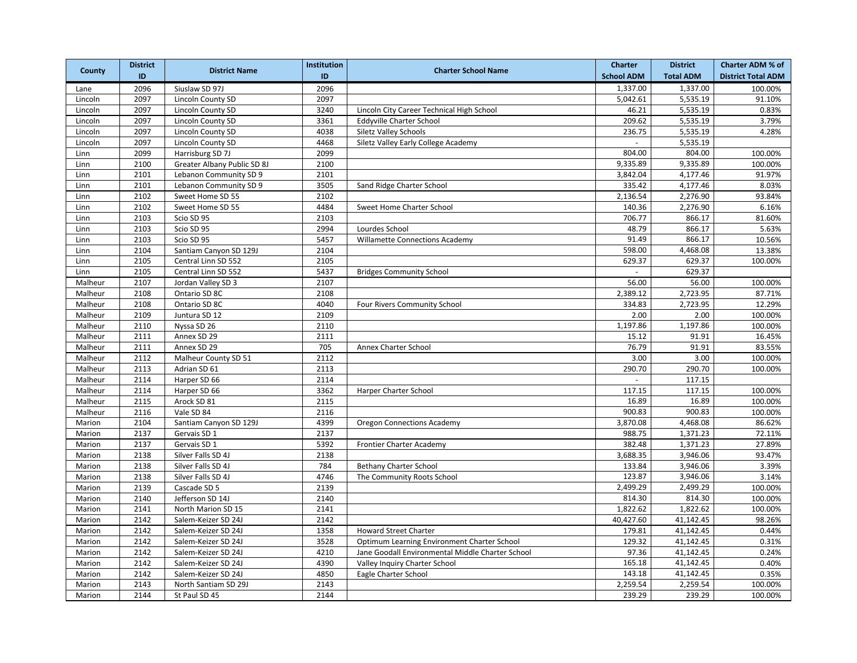|         | <b>District</b> |                             | <b>Institution</b> |                                                  | <b>Charter</b>    | <b>District</b>  | <b>Charter ADM % of</b>   |
|---------|-----------------|-----------------------------|--------------------|--------------------------------------------------|-------------------|------------------|---------------------------|
| County  | ID              | <b>District Name</b>        | ID                 | <b>Charter School Name</b>                       | <b>School ADM</b> | <b>Total ADM</b> | <b>District Total ADM</b> |
| Lane    | 2096            | Siuslaw SD 97J              | 2096               |                                                  | 1,337.00          | 1,337.00         | 100.00%                   |
| Lincoln | 2097            | Lincoln County SD           | 2097               |                                                  | 5,042.61          | 5,535.19         | 91.10%                    |
| Lincoln | 2097            | Lincoln County SD           | 3240               | Lincoln City Career Technical High School        | 46.21             | 5,535.19         | 0.83%                     |
| Lincoln | 2097            | Lincoln County SD           | 3361               | <b>Eddyville Charter School</b>                  | 209.62            | 5,535.19         | 3.79%                     |
| Lincoln | 2097            | Lincoln County SD           | 4038               | Siletz Valley Schools                            | 236.75            | 5,535.19         | 4.28%                     |
| Lincoln | 2097            | Lincoln County SD           | 4468               | Siletz Valley Early College Academy              | $\omega$          | 5,535.19         |                           |
| Linn    | 2099            | Harrisburg SD 7J            | 2099               |                                                  | 804.00            | 804.00           | 100.00%                   |
| Linn    | 2100            | Greater Albany Public SD 8J | 2100               |                                                  | 9,335.89          | 9,335.89         | 100.00%                   |
| Linn    | 2101            | Lebanon Community SD 9      | 2101               |                                                  | 3,842.04          | 4,177.46         | 91.97%                    |
| Linn    | 2101            | Lebanon Community SD 9      | 3505               | Sand Ridge Charter School                        | 335.42            | 4,177.46         | 8.03%                     |
| Linn    | 2102            | Sweet Home SD 55            | 2102               |                                                  | 2,136.54          | 2,276.90         | 93.84%                    |
| Linn    | 2102            | Sweet Home SD 55            | 4484               | Sweet Home Charter School                        | 140.36            | 2,276.90         | 6.16%                     |
| Linn    | 2103            | Scio SD 95                  | 2103               |                                                  | 706.77            | 866.17           | 81.60%                    |
| Linn    | 2103            | Scio SD 95                  | 2994               | Lourdes School                                   | 48.79             | 866.17           | 5.63%                     |
| Linn    | 2103            | Scio SD 95                  | 5457               | <b>Willamette Connections Academy</b>            | 91.49             | 866.17           | 10.56%                    |
| Linn    | 2104            | Santiam Canyon SD 129J      | 2104               |                                                  | 598.00            | 4,468.08         | 13.38%                    |
| Linn    | 2105            | Central Linn SD 552         | 2105               |                                                  | 629.37            | 629.37           | 100.00%                   |
| Linn    | 2105            | Central Linn SD 552         | 5437               | <b>Bridges Community School</b>                  |                   | 629.37           |                           |
| Malheur | 2107            | Jordan Valley SD 3          | 2107               |                                                  | 56.00             | 56.00            | 100.00%                   |
| Malheur | 2108            | Ontario SD 8C               | 2108               |                                                  | 2,389.12          | 2,723.95         | 87.71%                    |
| Malheur | 2108            | Ontario SD 8C               | 4040               | Four Rivers Community School                     | 334.83            | 2,723.95         | 12.29%                    |
| Malheur | 2109            | Juntura SD 12               | 2109               |                                                  | 2.00              | 2.00             | 100.00%                   |
| Malheur | 2110            | Nyssa SD 26                 | 2110               |                                                  | 1,197.86          | 1,197.86         | 100.00%                   |
| Malheur | 2111            | Annex SD 29                 | 2111               |                                                  | 15.12             | 91.91            | 16.45%                    |
| Malheur | 2111            | Annex SD 29                 | 705                | Annex Charter School                             | 76.79             | 91.91            | 83.55%                    |
| Malheur | 2112            | Malheur County SD 51        | 2112               |                                                  | 3.00              | 3.00             | 100.00%                   |
| Malheur | 2113            | Adrian SD 61                | 2113               |                                                  | 290.70            | 290.70           | 100.00%                   |
| Malheur | 2114            | Harper SD 66                | 2114               |                                                  | $\sim$            | 117.15           |                           |
| Malheur | 2114            | Harper SD 66                | 3362               | Harper Charter School                            | 117.15            | 117.15           | 100.00%                   |
| Malheur | 2115            | Arock SD 81                 | 2115               |                                                  | 16.89             | 16.89            | 100.00%                   |
| Malheur | 2116            | Vale SD 84                  | 2116               |                                                  | 900.83            | 900.83           | 100.00%                   |
| Marion  | 2104            | Santiam Canyon SD 129J      | 4399               | <b>Oregon Connections Academy</b>                | 3,870.08          | 4,468.08         | 86.62%                    |
| Marion  | 2137            | Gervais SD 1                | 2137               |                                                  | 988.75            | 1,371.23         | 72.11%                    |
| Marion  | 2137            | Gervais SD 1                | 5392               | Frontier Charter Academy                         | 382.48            | 1,371.23         | 27.89%                    |
| Marion  | 2138            | Silver Falls SD 4J          | 2138               |                                                  | 3,688.35          | 3,946.06         | 93.47%                    |
| Marion  | 2138            | Silver Falls SD 4J          | 784                | <b>Bethany Charter School</b>                    | 133.84            | 3,946.06         | 3.39%                     |
| Marion  | 2138            | Silver Falls SD 4J          | 4746               | The Community Roots School                       | 123.87            | 3,946.06         | 3.14%                     |
| Marion  | 2139            | Cascade SD 5                | 2139               |                                                  | 2,499.29          | 2,499.29         | 100.00%                   |
| Marion  | 2140            | Jefferson SD 14J            | 2140               |                                                  | 814.30            | 814.30           | 100.00%                   |
| Marion  | 2141            | North Marion SD 15          | 2141               |                                                  | 1,822.62          | 1,822.62         | 100.00%                   |
| Marion  | 2142            | Salem-Keizer SD 24J         | 2142               |                                                  | 40,427.60         | 41,142.45        | 98.26%                    |
| Marion  | 2142            | Salem-Keizer SD 24J         | 1358               | <b>Howard Street Charter</b>                     | 179.81            | 41,142.45        | 0.44%                     |
| Marion  | 2142            | Salem-Keizer SD 24J         | 3528               | Optimum Learning Environment Charter School      | 129.32            | 41,142.45        | 0.31%                     |
| Marion  | 2142            | Salem-Keizer SD 24J         | 4210               | Jane Goodall Environmental Middle Charter School | 97.36             | 41,142.45        | 0.24%                     |
| Marion  | 2142            | Salem-Keizer SD 24J         | 4390               | Valley Inquiry Charter School                    | 165.18            | 41,142.45        | 0.40%                     |
| Marion  | 2142            | Salem-Keizer SD 24J         | 4850               | Eagle Charter School                             | 143.18            | 41,142.45        | 0.35%                     |
| Marion  | 2143            | North Santiam SD 29J        | 2143               |                                                  | 2,259.54          | 2,259.54         | 100.00%                   |
| Marion  | 2144            | St Paul SD 45               | 2144               |                                                  | 239.29            | 239.29           | 100.00%                   |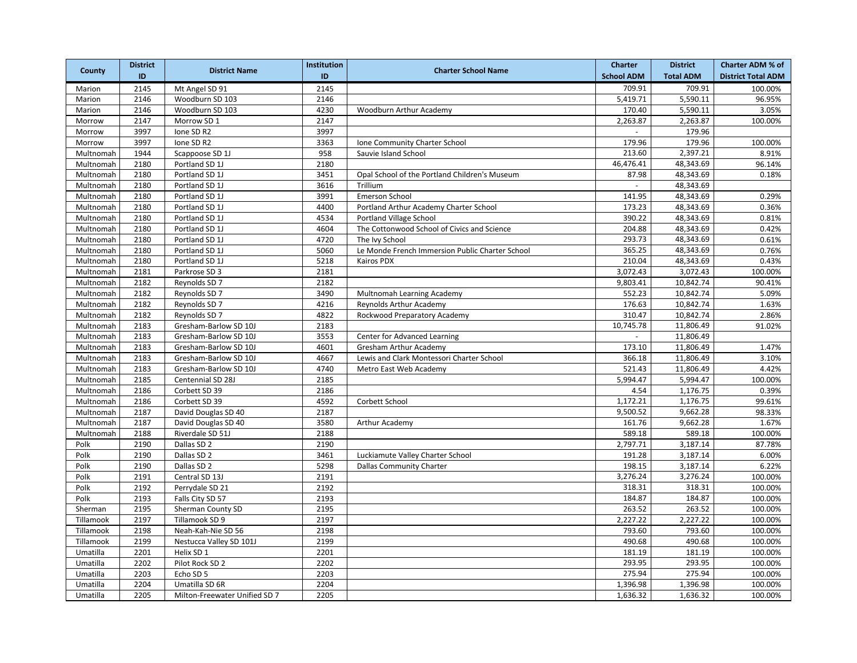|           | <b>District</b> | <b>District Name</b>          | <b>Institution</b> | <b>Charter School Name</b>                      | <b>Charter</b>    | <b>District</b>  | <b>Charter ADM % of</b>   |
|-----------|-----------------|-------------------------------|--------------------|-------------------------------------------------|-------------------|------------------|---------------------------|
| County    | ID              |                               | ID                 |                                                 | <b>School ADM</b> | <b>Total ADM</b> | <b>District Total ADM</b> |
| Marion    | 2145            | Mt Angel SD 91                | 2145               |                                                 | 709.91            | 709.91           | 100.00%                   |
| Marion    | 2146            | Woodburn SD 103               | 2146               |                                                 | 5,419.71          | 5,590.11         | 96.95%                    |
| Marion    | 2146            | Woodburn SD 103               | 4230               | Woodburn Arthur Academy                         | 170.40            | 5,590.11         | 3.05%                     |
| Morrow    | 2147            | Morrow SD 1                   | 2147               |                                                 | 2,263.87          | 2,263.87         | 100.00%                   |
| Morrow    | 3997            | Ione SD R2                    | 3997               |                                                 | $\sim$            | 179.96           |                           |
| Morrow    | 3997            | Ione SD R2                    | 3363               | Ione Community Charter School                   | 179.96            | 179.96           | 100.00%                   |
| Multnomah | 1944            | Scappoose SD 1J               | 958                | Sauvie Island School                            | 213.60            | 2,397.21         | 8.91%                     |
| Multnomah | 2180            | Portland SD 1J                | 2180               |                                                 | 46,476.41         | 48,343.69        | 96.14%                    |
| Multnomah | 2180            | Portland SD 1J                | 3451               | Opal School of the Portland Children's Museum   | 87.98             | 48,343.69        | 0.18%                     |
| Multnomah | 2180            | Portland SD 1J                | 3616               | Trillium                                        | $\equiv$          | 48,343.69        |                           |
| Multnomah | 2180            | Portland SD 1J                | 3991               | Emerson School                                  | 141.95            | 48,343.69        | 0.29%                     |
| Multnomah | 2180            | Portland SD 1J                | 4400               | Portland Arthur Academy Charter School          | 173.23            | 48,343.69        | 0.36%                     |
| Multnomah | 2180            | Portland SD 1J                | 4534               | Portland Village School                         | 390.22            | 48,343.69        | 0.81%                     |
| Multnomah | 2180            | Portland SD 1J                | 4604               | The Cottonwood School of Civics and Science     | 204.88            | 48,343.69        | 0.42%                     |
| Multnomah | 2180            | Portland SD 1J                | 4720               | The Ivy School                                  | 293.73            | 48,343.69        | 0.61%                     |
| Multnomah | 2180            | Portland SD 1J                | 5060               | Le Monde French Immersion Public Charter School | 365.25            | 48,343.69        | 0.76%                     |
| Multnomah | 2180            | Portland SD 1J                | 5218               | Kairos PDX                                      | 210.04            | 48,343.69        | 0.43%                     |
| Multnomah | 2181            | Parkrose SD 3                 | 2181               |                                                 | 3,072.43          | 3,072.43         | 100.00%                   |
| Multnomah | 2182            | Reynolds SD 7                 | 2182               |                                                 | 9,803.41          | 10,842.74        | 90.41%                    |
| Multnomah | 2182            | Reynolds SD 7                 | 3490               | Multnomah Learning Academy                      | 552.23            | 10,842.74        | 5.09%                     |
| Multnomah | 2182            | Reynolds SD 7                 | 4216               | Reynolds Arthur Academy                         | 176.63            | 10,842.74        | 1.63%                     |
| Multnomah | 2182            | Reynolds SD 7                 | 4822               | Rockwood Preparatory Academy                    | 310.47            | 10,842.74        | 2.86%                     |
| Multnomah | 2183            | Gresham-Barlow SD 10J         | 2183               |                                                 | 10,745.78         | 11,806.49        | 91.02%                    |
| Multnomah | 2183            | Gresham-Barlow SD 10J         | 3553               | Center for Advanced Learning                    |                   | 11,806.49        |                           |
| Multnomah | 2183            | Gresham-Barlow SD 10J         | 4601               | Gresham Arthur Academy                          | 173.10            | 11,806.49        | 1.47%                     |
| Multnomah | 2183            | Gresham-Barlow SD 10J         | 4667               | Lewis and Clark Montessori Charter School       | 366.18            | 11,806.49        | 3.10%                     |
| Multnomah | 2183            | Gresham-Barlow SD 10J         | 4740               | Metro East Web Academy                          | 521.43            | 11,806.49        | 4.42%                     |
| Multnomah | 2185            | Centennial SD 28J             | 2185               |                                                 | 5,994.47          | 5,994.47         | 100.00%                   |
| Multnomah | 2186            | Corbett SD 39                 | 2186               |                                                 | 4.54              | 1,176.75         | 0.39%                     |
| Multnomah | 2186            | Corbett SD 39                 | 4592               | Corbett School                                  | 1,172.21          | 1,176.75         | 99.61%                    |
| Multnomah | 2187            | David Douglas SD 40           | 2187               |                                                 | 9,500.52          | 9,662.28         | 98.33%                    |
| Multnomah | 2187            | David Douglas SD 40           | 3580               | Arthur Academy                                  | 161.76            | 9,662.28         | 1.67%                     |
| Multnomah | 2188            | Riverdale SD 51J              | 2188               |                                                 | 589.18            | 589.18           | 100.00%                   |
| Polk      | 2190            | Dallas SD 2                   | 2190               |                                                 | 2,797.71          | 3,187.14         | 87.78%                    |
| Polk      | 2190            | Dallas SD 2                   | 3461               | Luckiamute Valley Charter School                | 191.28            | 3,187.14         | 6.00%                     |
| Polk      | 2190            | Dallas SD 2                   | 5298               | <b>Dallas Community Charter</b>                 | 198.15            | 3,187.14         | 6.22%                     |
| Polk      | 2191            | Central SD 13J                | 2191               |                                                 | 3,276.24          | 3,276.24         | 100.00%                   |
| Polk      | 2192            | Perrydale SD 21               | 2192               |                                                 | 318.31            | 318.31           | 100.00%                   |
| Polk      | 2193            | Falls City SD 57              | 2193               |                                                 | 184.87            | 184.87           | 100.00%                   |
| Sherman   | 2195            | Sherman County SD             | 2195               |                                                 | 263.52            | 263.52           | 100.00%                   |
| Tillamook | 2197            | Tillamook SD 9                | 2197               |                                                 | 2,227.22          | 2,227.22         | 100.00%                   |
| Tillamook | 2198            | Neah-Kah-Nie SD 56            | 2198               |                                                 | 793.60            | 793.60           | 100.00%                   |
| Tillamook | 2199            | Nestucca Valley SD 101J       | 2199               |                                                 | 490.68            | 490.68           | 100.00%                   |
| Umatilla  | 2201            | Helix SD 1                    | 2201               |                                                 | 181.19            | 181.19           | 100.00%                   |
| Umatilla  | 2202            | Pilot Rock SD 2               | 2202               |                                                 | 293.95            | 293.95           | 100.00%                   |
| Umatilla  | 2203            | Echo SD 5                     | 2203               |                                                 | 275.94            | 275.94           | 100.00%                   |
| Umatilla  | 2204            | Umatilla SD 6R                | 2204               |                                                 | 1,396.98          | 1,396.98         | 100.00%                   |
| Umatilla  | 2205            | Milton-Freewater Unified SD 7 | 2205               |                                                 | 1,636.32          | 1,636.32         | 100.00%                   |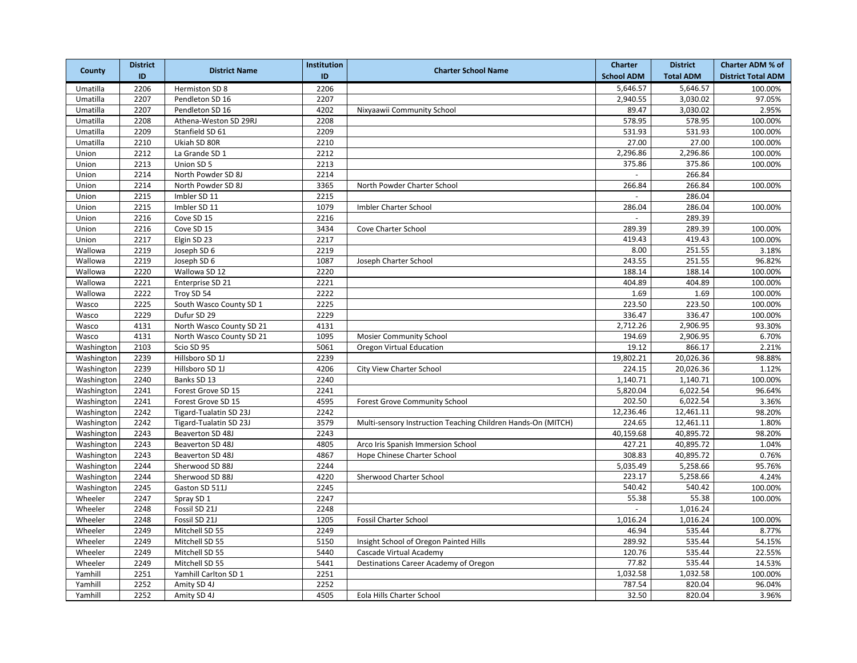|            | <b>District</b> | <b>District Name</b>          | <b>Institution</b> | <b>Charter School Name</b>                                   | <b>Charter</b>    | <b>District</b>  | <b>Charter ADM % of</b>   |
|------------|-----------------|-------------------------------|--------------------|--------------------------------------------------------------|-------------------|------------------|---------------------------|
| County     | ID              |                               | ID                 |                                                              | <b>School ADM</b> | <b>Total ADM</b> | <b>District Total ADM</b> |
| Umatilla   | 2206            | Hermiston SD 8                | 2206               |                                                              | 5,646.57          | 5,646.57         | 100.00%                   |
| Umatilla   | 2207            | Pendleton SD 16               | 2207               |                                                              | 2,940.55          | 3,030.02         | 97.05%                    |
| Umatilla   | 2207            | Pendleton SD 16               | 4202               | Nixyaawii Community School                                   | 89.47             | 3,030.02         | 2.95%                     |
| Umatilla   | 2208            | Athena-Weston SD 29RJ         | 2208               |                                                              | 578.95            | 578.95           | 100.00%                   |
| Umatilla   | 2209            | Stanfield SD 61               | 2209               |                                                              | 531.93            | 531.93           | 100.00%                   |
| Umatilla   | 2210            | Ukiah SD 80R                  | 2210               |                                                              | 27.00             | 27.00            | 100.00%                   |
| Union      | 2212            | La Grande SD 1                | 2212               |                                                              | 2,296.86          | 2,296.86         | 100.00%                   |
| Union      | 2213            | Union SD 5                    | 2213               |                                                              | 375.86            | 375.86           | 100.00%                   |
| Union      | 2214            | North Powder SD 8J            | 2214               |                                                              |                   | 266.84           |                           |
| Union      | 2214            | North Powder SD 8J            | 3365               | North Powder Charter School                                  | 266.84            | 266.84           | 100.00%                   |
| Union      | 2215            | Imbler SD 11                  | 2215               |                                                              |                   | 286.04           |                           |
| Union      | 2215            | Imbler SD 11                  | 1079               | Imbler Charter School                                        | 286.04            | 286.04           | 100.00%                   |
| Union      | 2216            | Cove SD 15                    | 2216               |                                                              |                   | 289.39           |                           |
| Union      | 2216            | Cove SD 15                    | 3434               | Cove Charter School                                          | 289.39            | 289.39           | 100.00%                   |
| Union      | 2217            | Elgin SD 23                   | 2217               |                                                              | 419.43            | 419.43           | 100.00%                   |
| Wallowa    | 2219            | Joseph SD 6                   | 2219               |                                                              | 8.00              | 251.55           | 3.18%                     |
| Wallowa    | 2219            | Joseph SD 6                   | 1087               | Joseph Charter School                                        | 243.55            | 251.55           | 96.82%                    |
| Wallowa    | 2220            | Wallowa SD 12                 | 2220               |                                                              | 188.14            | 188.14           | 100.00%                   |
| Wallowa    | 2221            | Enterprise SD 21              | 2221               |                                                              | 404.89            | 404.89           | 100.00%                   |
| Wallowa    | 2222            | Troy SD 54                    | 2222               |                                                              | 1.69              | 1.69             | 100.00%                   |
| Wasco      | 2225            | South Wasco County SD 1       | 2225               |                                                              | 223.50            | 223.50           | 100.00%                   |
| Wasco      | 2229            | Dufur SD 29                   | 2229               |                                                              | 336.47            | 336.47           | 100.00%                   |
| Wasco      | 4131            | North Wasco County SD 21      | 4131               |                                                              | 2,712.26          | 2,906.95         | 93.30%                    |
| Wasco      | 4131            | North Wasco County SD 21      | 1095               | <b>Mosier Community School</b>                               | 194.69            | 2,906.95         | 6.70%                     |
| Washington | 2103            | Scio SD 95                    | 5061               | Oregon Virtual Education                                     | 19.12             | 866.17           | 2.21%                     |
| Washington | 2239            | Hillsboro SD 1J               | 2239               |                                                              | 19,802.21         | 20,026.36        | 98.88%                    |
| Washington | 2239            | Hillsboro SD 1J               | 4206               | City View Charter School                                     | 224.15            | 20,026.36        | 1.12%                     |
| Washington | 2240            | Banks SD 13                   | 2240               |                                                              | 1,140.71          | 1,140.71         | 100.00%                   |
| Washington | 2241            | Forest Grove SD 15            | 2241               |                                                              | 5,820.04          | 6,022.54         | 96.64%                    |
| Washington | 2241            | Forest Grove SD 15            | 4595               | <b>Forest Grove Community School</b>                         | 202.50            | 6,022.54         | 3.36%                     |
| Washington | 2242            | <b>Tigard-Tualatin SD 23J</b> | 2242               |                                                              | 12,236.46         | 12,461.11        | 98.20%                    |
| Washington | 2242            | <b>Tigard-Tualatin SD 23J</b> | 3579               | Multi-sensory Instruction Teaching Children Hands-On (MITCH) | 224.65            | 12,461.11        | 1.80%                     |
| Washington | 2243            | Beaverton SD 48J              | 2243               |                                                              | 40,159.68         | 40,895.72        | 98.20%                    |
| Washington | 2243            | Beaverton SD 48J              | 4805               | Arco Iris Spanish Immersion School                           | 427.21            | 40,895.72        | 1.04%                     |
| Washington | 2243            | Beaverton SD 48J              | 4867               | Hope Chinese Charter School                                  | 308.83            | 40,895.72        | 0.76%                     |
| Washington | 2244            | Sherwood SD 88J               | 2244               |                                                              | 5,035.49          | 5,258.66         | 95.76%                    |
| Washington | 2244            | Sherwood SD 88J               | 4220               | Sherwood Charter School                                      | 223.17            | 5,258.66         | 4.24%                     |
| Washington | 2245            | Gaston SD 511J                | 2245               |                                                              | 540.42            | 540.42           | 100.00%                   |
| Wheeler    | 2247            | Spray SD 1                    | 2247               |                                                              | 55.38             | 55.38            | 100.00%                   |
| Wheeler    | 2248            | Fossil SD 21J                 | 2248               |                                                              | $\sim$            | 1,016.24         |                           |
| Wheeler    | 2248            | Fossil SD 21J                 | 1205               | <b>Fossil Charter School</b>                                 | 1,016.24          | 1,016.24         | 100.00%                   |
| Wheeler    | 2249            | Mitchell SD 55                | 2249               |                                                              | 46.94             | 535.44           | 8.77%                     |
| Wheeler    | 2249            | Mitchell SD 55                | 5150               | Insight School of Oregon Painted Hills                       | 289.92            | 535.44           | 54.15%                    |
| Wheeler    | 2249            | Mitchell SD 55                | 5440               | Cascade Virtual Academy                                      | 120.76            | 535.44           | 22.55%                    |
| Wheeler    | 2249            | Mitchell SD 55                | 5441               | Destinations Career Academy of Oregon                        | 77.82             | 535.44           | 14.53%                    |
| Yamhill    | 2251            | Yamhill Carlton SD 1          | 2251               |                                                              | 1,032.58          | 1,032.58         | 100.00%                   |
| Yamhill    | 2252            | Amity SD 4J                   | 2252               |                                                              | 787.54            | 820.04           | 96.04%                    |
| Yamhill    | 2252            | Amity SD 4J                   | 4505               | Eola Hills Charter School                                    | 32.50             | 820.04           | 3.96%                     |